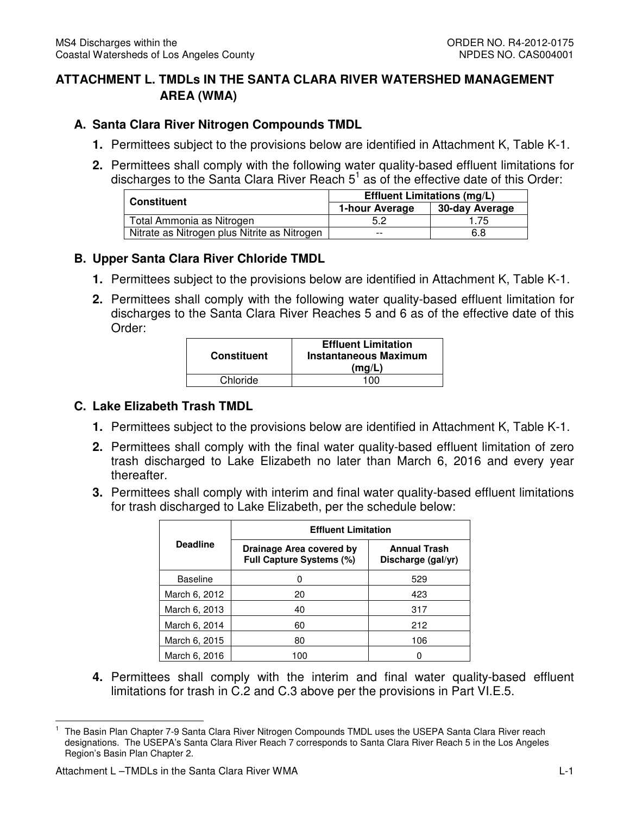# **ATTACHMENT L. TMDLs IN THE SANTA CLARA RIVER WATERSHED MANAGEMENT AREA (WMA)**

## **A. Santa Clara River Nitrogen Compounds TMDL**

- **1.** Permittees subject to the provisions below are identified in Attachment K, Table K-1.
- **2.** Permittees shall comply with the following water quality-based effluent limitations for discharges to the Santa Clara River Reach  $5<sup>1</sup>$  as of the effective date of this Order:

| <b>Constituent</b>                           | <b>Effluent Limitations (mg/L)</b> |                |
|----------------------------------------------|------------------------------------|----------------|
|                                              | 1-hour Average                     | 30-day Average |
| Total Ammonia as Nitrogen                    | 5.2                                | .75            |
| Nitrate as Nitrogen plus Nitrite as Nitrogen | $- -$                              | 6.8            |

#### **B. Upper Santa Clara River Chloride TMDL**

- **1.** Permittees subject to the provisions below are identified in Attachment K, Table K-1.
- **2.** Permittees shall comply with the following water quality-based effluent limitation for discharges to the Santa Clara River Reaches 5 and 6 as of the effective date of this Order:

| <b>Constituent</b> | <b>Effluent Limitation</b><br><b>Instantaneous Maximum</b><br>(mq/L) |
|--------------------|----------------------------------------------------------------------|
| Chloride           | 100                                                                  |

#### **C. Lake Elizabeth Trash TMDL**

- **1.** Permittees subject to the provisions below are identified in Attachment K, Table K-1.
- **2.** Permittees shall comply with the final water quality-based effluent limitation of zero trash discharged to Lake Elizabeth no later than March 6, 2016 and every year thereafter.
- **3.** Permittees shall comply with interim and final water quality-based effluent limitations for trash discharged to Lake Elizabeth, per the schedule below:

|                 | <b>Effluent Limitation</b>                                  |                                           |  |
|-----------------|-------------------------------------------------------------|-------------------------------------------|--|
| <b>Deadline</b> | Drainage Area covered by<br><b>Full Capture Systems (%)</b> | <b>Annual Trash</b><br>Discharge (gal/yr) |  |
| <b>Baseline</b> |                                                             | 529                                       |  |
| March 6, 2012   | 20                                                          | 423                                       |  |
| March 6, 2013   | 40                                                          | 317                                       |  |
| March 6, 2014   | 60                                                          | 212                                       |  |
| March 6, 2015   | 80                                                          | 106                                       |  |
| March 6, 2016   | 100                                                         |                                           |  |

 **4.** Permittees shall comply with the interim and final water quality-based effluent limitations for trash in C.2 and C.3 above per the provisions in Part VI.E.5.

l

 $\mathbf{1}$  designations. The USEPA's Santa Clara River Reach 7 corresponds to Santa Clara River Reach 5 in the Los Angeles Region's Basin Plan Chapter 2. 1 The Basin Plan Chapter 7-9 Santa Clara River Nitrogen Compounds TMDL uses the USEPA Santa Clara River reach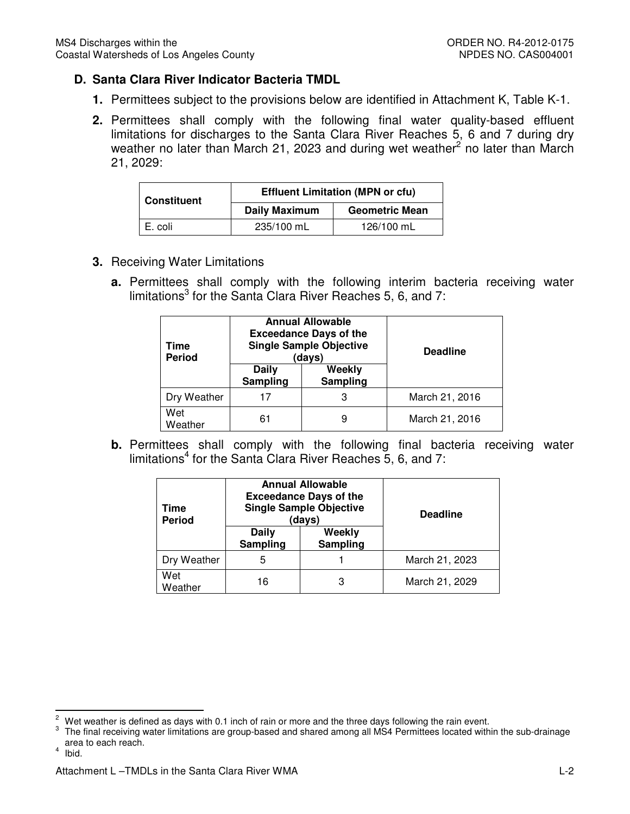# **D. Santa Clara River Indicator Bacteria TMDL**

- **1.** Permittees subject to the provisions below are identified in Attachment K, Table K-1.
- **2.** Permittees shall comply with the following final water quality-based effluent limitations for discharges to the Santa Clara River Reaches 5, 6 and 7 during dry weather no later than March 21, 2023 and during wet weather<sup>2</sup> no later than March 21, 2029:

| <b>Constituent</b> | <b>Effluent Limitation (MPN or cfu)</b> |                       |
|--------------------|-----------------------------------------|-----------------------|
|                    | <b>Daily Maximum</b>                    | <b>Geometric Mean</b> |
| E. coli            | 235/100 mL                              | 126/100 mL            |

- **3.** Receiving Water Limitations
	- **a.** Permittees shall comply with the following interim bacteria receiving water limitations<sup>3</sup> for the Santa Clara River Reaches 5, 6, and 7:

| Time<br><b>Period</b> | <b>Annual Allowable</b><br><b>Exceedance Days of the</b><br><b>Single Sample Objective</b><br>(days) |                    | <b>Deadline</b> |
|-----------------------|------------------------------------------------------------------------------------------------------|--------------------|-----------------|
|                       | Daily<br>Sampling                                                                                    | Weekly<br>Sampling |                 |
| Dry Weather           | 17                                                                                                   | 3                  | March 21, 2016  |
| Wet<br>Weather        | 6                                                                                                    | 9                  | March 21, 2016  |

 **b.** Permittees shall comply with the following final bacteria receiving water limitations<sup>4</sup> for the Santa Clara River Reaches 5, 6, and 7:

| Time<br><b>Period</b> | <b>Annual Allowable</b><br><b>Exceedance Days of the</b><br><b>Single Sample Objective</b><br>(days) |                    | <b>Deadline</b> |
|-----------------------|------------------------------------------------------------------------------------------------------|--------------------|-----------------|
|                       | Daily<br>Sampling                                                                                    | Weekly<br>Sampling |                 |
| Dry Weather           | 5                                                                                                    |                    | March 21, 2023  |
| Wet<br>Weather        | 16                                                                                                   | 3                  | March 21, 2029  |

4 Ibid.

 $\overline{a}$ 

 $\sqrt{2}$ Wet weather is defined as days with 0.1 inch of rain or more and the three days following the rain event.

 $\mathsf 3$  area to each reach.  $\overline{4}$ 3 The final receiving water limitations are group-based and shared among all MS4 Permittees located within the sub-drainage